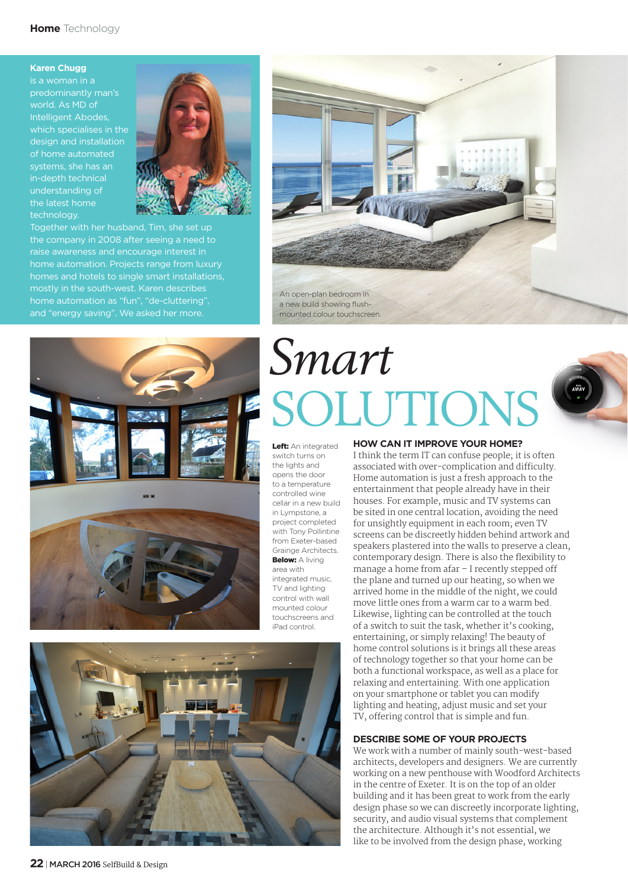### **Karen Chugg**

is a woman in a predominantly man's world. As MD of Intelligent Abodes, which specialises in the design and installation of home automated systems, she has an in-depth technical understanding of the latest home technology.



Together with her husband, Tim, she set up the company in 2008 after seeing a need to raise awareness and encourage interest in home automation. Projects range from luxury homes and hotels to single smart installations, mostly in the south-west. Karen describes home automation as "fun", "de-cluttering", and "energy saving". We asked her more.





Left: An integrated switch turns on the lights and opens the door to a temperature controlled wine cellar in a new build in Lympstone, a project completed with Tony Pollintine from Exeter-based Grainge Architects. Below: A living area with integrated music. TV and lighting control with wall mounted colour touchscreens and iPad control.

An open-plan bedroom in a new build showing flushmounted colour touchscreen.



## **HOW CAN IT IMPROVE YOUR HOME?**

I think the term IT can confuse people; it is often associated with over-complication and difficulty. Home automation is just a fresh approach to the entertainment that people already have in their houses. For example, music and TV systems can be sited in one central location, avoiding the need for unsightly equipment in each room; even TV screens can be discreetly hidden behind artwork and speakers plastered into the walls to preserve a clean, contemporary design. There is also the flexibility to manage a home from afar – I recently stepped off the plane and turned up our heating, so when we arrived home in the middle of the night, we could move little ones from a warm car to a warm bed. Likewise, lighting can be controlled at the touch of a switch to suit the task, whether it's cooking, entertaining, or simply relaxing! The beauty of home control solutions is it brings all these areas of technology together so that your home can be both a functional workspace, as well as a place for relaxing and entertaining. With one application on your smartphone or tablet you can modify lighting and heating, adjust music and set your TV, offering control that is simple and fun.

# **DESCRIBE SOME OF YOUR PROJECTS**

We work with a number of mainly south-west-based architects, developers and designers. We are currently working on a new penthouse with Woodford Architects in the centre of Exeter. It is on the top of an older building and it has been great to work from the early design phase so we can discreetly incorporate lighting, security, and audio visual systems that complement the architecture. Although it's not essential, we like to be involved from the design phase, working